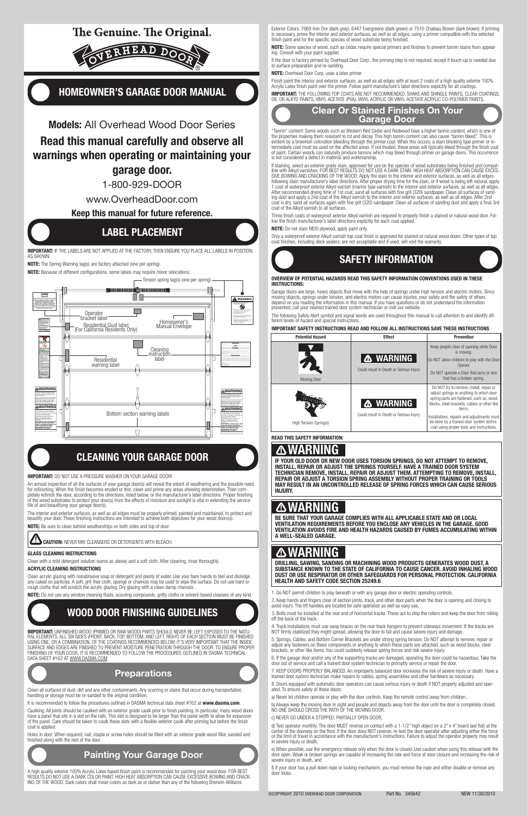# The Genuine. The Original.



# Homeowner's Garage Door Manual

# Models: All Overhead Wood Door Series Read this manual carefully and observe all warnings when operating or maintaining your garage door.

1-800-929-DOOR

IMPORTANT: IF THE LABELS ARE NOT APPLIED AT THE FACTORY, THEN ENSURE YOU PLACE ALL LABELS IN POSITION, as shown.

www.OverheadDoor.com

### Keep this manual for future reference.

## Label Placement

NOTE: The Spring Warning tag(s) are factory attached (one per spring).

NOTE: Because of different configurations, some labels may require minor relocations.

The interior and exterior surfaces, as well as all edges must be properly primed, painted and maintained, to protect and beautify your door. These finishing instructions are intended to achieve both objectives for your wood doors(s

NOTE: Be sure to clean behind weatherstrips on both sides and top of door.

**CAUTION: NEVER MIX CLEANSERS OR DETERGENTS WITH BLEACH.** 



IMPORTANT: Unfinished wood (primed or raw wood) parts should never be left exposed to the natural elements. All six sides (front, back, top, bottom, and left, right) of each section must be finished using one, or a combination, of the coatings recommended below. It's very important that the inside surface and edges are finished to prevent moisture penetration through the door. To ensure proper finishing of your door, it is recommended to follow the procedures outlined in DASMA technical DATA SHEET #162 AT WWW.DASMA.COM.

### **Preparations**

Caulking: All joints should be caulked with an exterior grade caulk prior to finish painting. In particular, many wood doors have a panel that sits in a slot on the rails. This slot is designed to be larger than the panel width to allow for expansion of the panel. Care should be taken to caulk these slots with a flexible exterior caulk after priming but before the finish coat is applied.

A high quality exterior 100% Acrylic Latex based finish paint is recommended for painting your wood door. FOR BEST<br>RESULTS DO NOT USE A DARK COLOR PAINT. HIGH HEAT ABSORPTION CAN CAUSE EXCESSIVE BOWING AND CRACK-ING OF THE WOOD. Dark colors shall mean colors as dark as or darker than any of the following Sherwin-Williams

NOTE: Some species of wood, such as cedar, require special primers and finishes to prevent tannin stains from appearing. Consult with your paint supplier.

If staining, select an exterior grade stain, approved for use on the species of wood substrates being finished and compatible with Alkyd varnishes. FOR BEST RESULTS DO NOT USE A DARK STAIN. HIGH HEAT ABSORPTION CAN CAUSE EXCES-SIVE BOWING AND CRACKING OF THE WOOD. Apply the stain to the interior and exterior surfaces, as well as all edges, following stain manufacturer's label directions. After proper drying time for the stain, or if wood is being left natural, apply 1 coat of waterproof exterior Alkyd varnish (marine type varnish) to the interior and exterior surfaces, as well as all edges. After recommended drying time of 1st coat, sand all surfaces with fine grit (320) sandpaper. Clean all surfaces of sanding dust and apply a 2nd coat of the Alkyd varnish to the interior and exterior surfaces, as well as all edges. After 2nd coat is dry, sand all surfaces again with fine grit (320) sandpaper. Clean all surfaces of sanding dust and apply a final 3rd coat of the Alkyd varnish to all surfaces.

The following Safety Alert symbol and signal words are used throughout this manual to call attention to and identify different levels of hazard and special instructions.

# Cleaning Your Garage Door

Important: Do not use a pressure washer on your garage door!

An annual inspection of all the surfaces of your garage door(s) will reveal the extent of weathering and the possible need for refinishing. When the finish becomes eroded or thin, clean and prime any areas showing deterioration. Then completely refinish the door, according to the directions, listed below, or the manufacturer's label directions. Proper finishing of the wood substrates to protect your door(s) from the effects of moisture and sunlight is vital in extending the service life of and beautifying your garage door(s).

#### Glass cleaning instructions

Clean with a mild detergent solution (same as above) and a soft cloth. After cleaning, rinse thoroughly.

#### Acrylic cleaning instructions

Clean acrylic glazing with nonabrasive soap or detergent and plenty of water. Use your bare hands to feel and dislodge any caked on particles. A soft, grit-free cloth, sponge or chamois may be used to wipe the surface. Do not use hard or rough cloths that will scratch the acrylic glazing. Dry glazing with a clean damp chamois.

NOTE: Do not use any window cleaning fluids, scouring compounds, gritty cloths or solvent-based cleaners of any kind.

# Wood Door Finishing Guidelines

f) If your door has a pull down rope or locking mechanism, you must remove the rope and either disable or remove any door locks.

Clean all surfaces of dust, dirt and any other contaminants. Any scarring or stains that occur during transportation, handling or storage must be re-sanded to the original condition.

It is recommended to follow the procedures outlined in DASMA technical data sheet #162 at www.dasma.com.

Holes in door: When required, nail, staple or screw holes should be filled with an exterior grade wood filler, sanded and finished along with the rest of the door.

### Painting Your Garage Door

Exterior Colors: 7069 Iron Ore (dark grey), 6447 Evergreens (dark green) or 7510 Chateau Brown (dark brown). If priming is necessary, prime the interior and exterior surfaces, as well as all edges, using a primer compatible with the selected finish paint and for the specific species of wood substrate being finished.

If the door is factory primed by Overhead Door Corp., the priming step is not required, except if touch-up is needed due to surface preparation and re-sanding.

NOTE: Overhead Door Corp. uses a latex primer.

Finish paint the interior and exterior surfaces, as well as all edges with at least 2 coats of a high quality exterior 100% Acrylic Latex finish paint over the primer. Follow paint manufacture's label directions explicitly for all coatings.

IMPORTANT: THE FOLLOWING TOP COATS ARE NOT RECOMMENDED. Shake and shingle paints, clear coatings, oil or alkyd paints, vinyl acetate (PVA), vinyl acrylic or vinyl acetate acrylic co-polymer paints.



### Clear Or Stained Finishes On Your Garage Door

"Tannin" content: Some woods such as Western Red Cedar and Redwood have a higher tannin content, which is one of the properties making them resistant to rot and decay. This high tannin content can also cause "tannin bleed". This is evident by a brownish coloration bleeding through the primer coat. When this occurs, a stain blocking type primer or intermediate coat must be used on the affected areas. If not treated, these areas will typically bleed through the finish coat of paint. Certain woods can naturally produce tannins which may bleed through primer on garage doors. This occurrence is not considered a defect in material and workmanship.

Three finish coats of waterproof exterior Alkyd varnish are required to properly finish a stained or natural wood door. Follow the finish manufacturer's label directions explicitly for each coat applied.

NOTE: Do not stain MDO plywood, apply paint only.

Only a waterproof exterior Alkyd varnish top coat finish is approved for stained or natural wood doors. Other types of top coat finishes, including deck sealers, are not acceptable and if used, will void the warranty.



#### OVERVIEW OF POTENTIAL HAZARDS READ THIS SAFETY INFORMATION CONVENTIONS USED IN THESE INSTRUCTIONS:

Garage doors are large, heavy objects that move with the help of springs under high tension and electric motors. Since moving objects, springs under tension, and electric motors can cause injuries, your safety and the safety of others depend on you reading the information in this manual. If you have questions or do not understand the information presented, call your nearest trained door system technician or visit our website.

#### IMPORTANT SAFETY INSTRUCTIONS READ AND FOLLOW ALL INSTRUCTIONS SAVE THESE INSTRUCTIONS.

| <b>Potential Hazard</b> | <b>Effect</b>                                               | <b>Prevention</b>                                                                                                                                                                                                                                                                                                                  |
|-------------------------|-------------------------------------------------------------|------------------------------------------------------------------------------------------------------------------------------------------------------------------------------------------------------------------------------------------------------------------------------------------------------------------------------------|
| <b>Moving Door</b>      | <b>A WARNING</b><br>Could result in Death or Serious Injury | Keep people clear of opening while Door<br>is moving.<br>Do NOT allow children to play with the Door<br>Opener.<br>Do NOT operate a Door that jams or one<br>that has a broken spring.                                                                                                                                             |
| High Tension Spring(s)  | <b>A WARNING</b><br>Could result in Death or Serious Injury | Do NOT try to remove, install, repair or<br>adjust springs or anything to which door<br>spring parts are fastened, such as, wood<br>blocks, steel brackets, cables or other like<br>items.<br>Installations, repairs and adjustments must<br>be done by a trained door system techni-<br>cian using proper tools and instructions. |

READ THIS SAFETY INFORMATION:

# KNING

If your old door or new door uses torsion springs, do NOT attempt to remove, install, repair or adjust the springs yourself. Have a trained door system technician remove, install, repair or adjust them. Attempting to remove, install, repair or adjust a torsion spring assembly without proper training or tools may result in an uncontrolled release of spring forces which can cause serious injury.

# ZA WAKNING

Be sure that your garage complies with all applicable state and or local ventilation requirements before you enclose any vehicles in the garage. Good ventilation avoids fire and health hazards caused by fumes accumulating within a well-sealed garage.

# WARNING

Drilling, sawing, sanding or machining wood products generates wood dust, a substance known to the State of California to cause cancer. Avoid inhaling wood dust or use respirator or other safeguards for personal protection. California Health And Safety Code Section 25249.6

1. Do NOT permit children to play beneath or with any garage door or electric operating controls.

2. Keep hands and fingers clear of section joints, track, and other door parts when the door is opening and closing to avoid injury. The lift handles are located for safe operation as well as easy use.

3. Bolts must be installed at the rear end of horizontal tracks. These act to stop the rollers and keep the door from rolling off the back of the track.

4. Track installations must use sway braces on the rear track hangers to prevent sideways movement. If the tracks are NOT firmly stabilized they might spread, allowing the door to fall and cause severe injury and damage.

5. Springs, Cables, and Bottom Corner Brackets are under strong spring tension. Do NOT attempt to remove, repair or adjust any fasteners on these components or anything to which these parts are attached, such as wood blocks, steel brackets, or other like items. You could suddenly release spring forces and risk severe injury.

6. If the garage door and/or any of the supporting tracks are damaged, operating the door could be hazardous. Take the door out of service and call a trained door system technician to promptly service or repair the door.

7. KEEP DOORS PROPERLY BALANCED. An improperly balanced door increases the risk of severe injury or death. Have a trained door system technician make repairs to cables, spring assemblies and other hardware as necessary.

8. Doors equipped with automatic door operators can cause serious injury or death if NOT properly adjusted and operated. To ensure safety of these doors:

a) Never let children operate or play with the door controls. Keep the remote control away from children,

b) Always keep the moving door in sight and people and objects away from the door until the door is completely closed. NO ONE SHOULD CROSS THE PATH OF THE MOVING DOOR,

#### c) NEVER GO UNDER A STOPPED, PARTIALLY OPEN DOOR,

d) Test operator monthly. The door MUST reverse on contact with a 1-1/2" high object (or a 2" x 4" board laid flat) at the center of the doorway on the floor. If the door does NOT reverse, re-test the door operator after adjusting either the force or the limit of travel in accordance with the manufacturer's instructions. Failure to adjust the operator properly may result in severe injury or death,

e) When possible, use the emergency release only when the door is closed. Use caution when using this release with the door open. Weak or broken springs are capable of increasing the rate and force of door closure and increasing the risk of severe injury or death, and